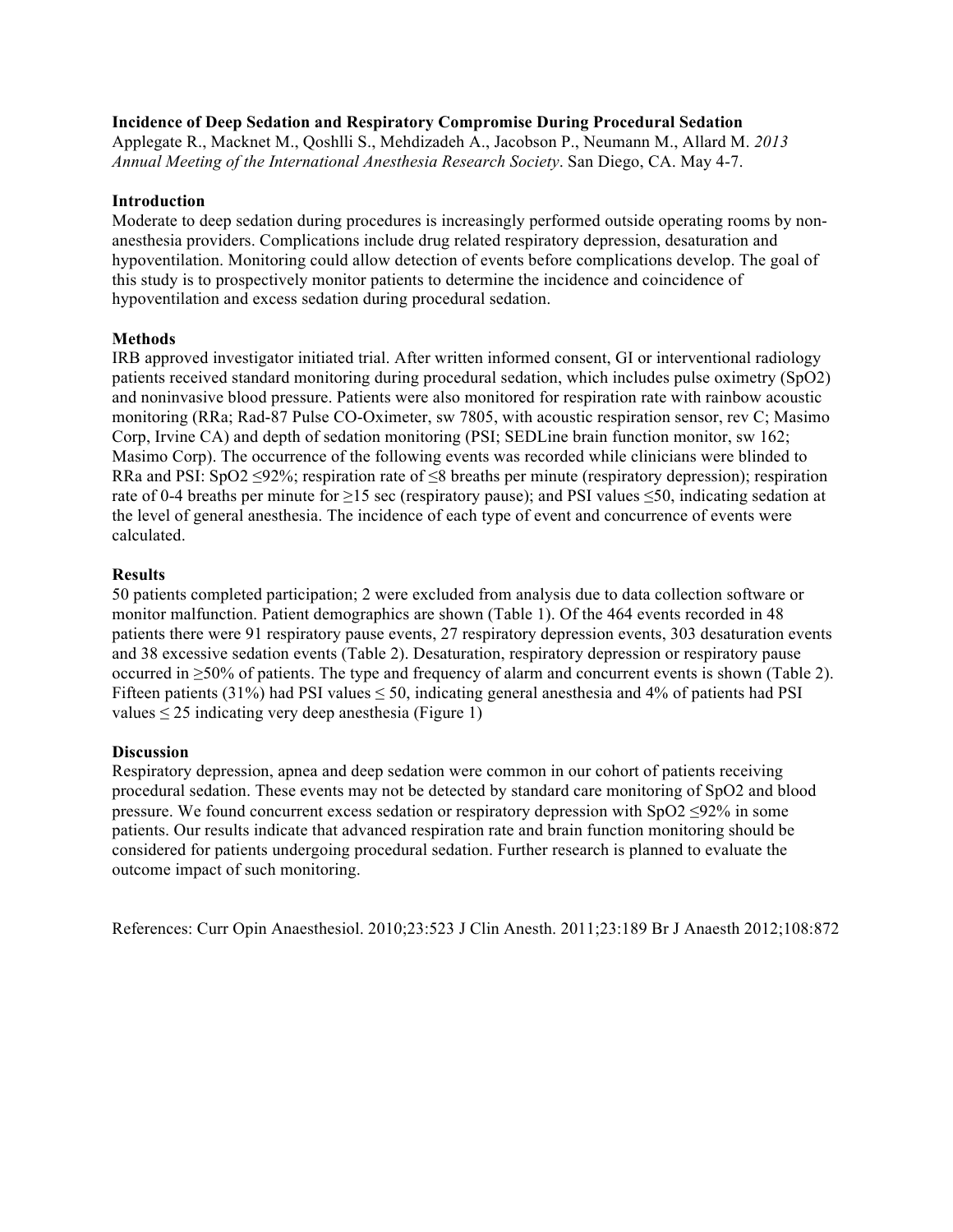### **Incidence of Deep Sedation and Respiratory Compromise During Procedural Sedation**

Applegate R., Macknet M., Qoshlli S., Mehdizadeh A., Jacobson P., Neumann M., Allard M. *2013 Annual Meeting of the International Anesthesia Research Society*. San Diego, CA. May 4-7.

### **Introduction**

Moderate to deep sedation during procedures is increasingly performed outside operating rooms by nonanesthesia providers. Complications include drug related respiratory depression, desaturation and hypoventilation. Monitoring could allow detection of events before complications develop. The goal of this study is to prospectively monitor patients to determine the incidence and coincidence of hypoventilation and excess sedation during procedural sedation.

# **Methods**

IRB approved investigator initiated trial. After written informed consent, GI or interventional radiology patients received standard monitoring during procedural sedation, which includes pulse oximetry (SpO2) and noninvasive blood pressure. Patients were also monitored for respiration rate with rainbow acoustic monitoring (RRa; Rad-87 Pulse CO-Oximeter, sw 7805, with acoustic respiration sensor, rev C; Masimo Corp, Irvine CA) and depth of sedation monitoring (PSI; SEDLine brain function monitor, sw 162; Masimo Corp). The occurrence of the following events was recorded while clinicians were blinded to RRa and PSI: SpO2 ≤92%; respiration rate of ≤8 breaths per minute (respiratory depression); respiration rate of 0-4 breaths per minute for  $\geq$ 15 sec (respiratory pause); and PSI values  $\leq$ 50, indicating sedation at the level of general anesthesia. The incidence of each type of event and concurrence of events were calculated.

# **Results**

50 patients completed participation; 2 were excluded from analysis due to data collection software or monitor malfunction. Patient demographics are shown (Table 1). Of the 464 events recorded in 48 patients there were 91 respiratory pause events, 27 respiratory depression events, 303 desaturation events and 38 excessive sedation events (Table 2). Desaturation, respiratory depression or respiratory pause occurred in ≥50% of patients. The type and frequency of alarm and concurrent events is shown (Table 2). Fifteen patients (31%) had PSI values  $\leq$  50, indicating general anesthesia and 4% of patients had PSI values  $\leq$  25 indicating very deep anesthesia (Figure 1)

#### **Discussion**

Respiratory depression, apnea and deep sedation were common in our cohort of patients receiving procedural sedation. These events may not be detected by standard care monitoring of SpO2 and blood pressure. We found concurrent excess sedation or respiratory depression with  $SpO2 \leq 92\%$  in some patients. Our results indicate that advanced respiration rate and brain function monitoring should be considered for patients undergoing procedural sedation. Further research is planned to evaluate the outcome impact of such monitoring.

References: Curr Opin Anaesthesiol. 2010;23:523 J Clin Anesth. 2011;23:189 Br J Anaesth 2012;108:872